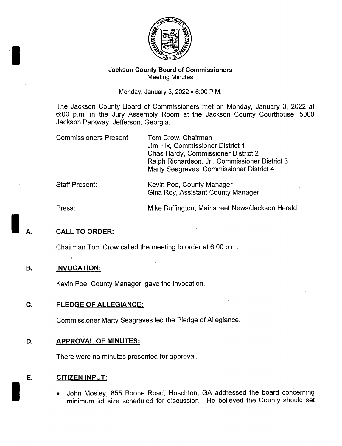

### Jackson County Board of Commissioners Meeting Minutes

Monday, January 3, 2022 • 6:00 P.M.

The Jackson County Board of Commissioners met on Monday, January 3, 2022 at 6:00 p.m. in the Jury Assembly Room at the Jackson County Courthouse, 5000 Jackson Parkway, Jefferson, Georgia.

Commissioners Present: Tom Crow, Chairman

Jim Hix, Commissioner District <sup>1</sup> Chas Hardy, Commissioner District 2 Ralph Richardson, Jr., Commissioner District 3 Marty Seagraves, Commissioner District 4

Gina Roy, Assistant County Manager

Staff Present: Kevin Poe, County Manager

Press: Mike Buffington; Mainstreet News/Jackson Herald

### **CALL TO ORDER:**

Chairman Tom Crow called the meeting to order at 6: 00 p. m.

# B. INVOCATION:

Kevin Poe, County Manager, gave the invocation.

# C. PLEDGE OF ALLEGIANCE:

Commissioner Marty Seagraves led the Pledge of Allegiance.

### D. APPROVAL OF MINUTES:

There were no minutes presented for approval.

### E. CITIZEN INPUT:

John Mosley, 855 Boone Road, Hoschton, GA addressed the board concerning minimum lot size scheduled for discussion. He believed the County should set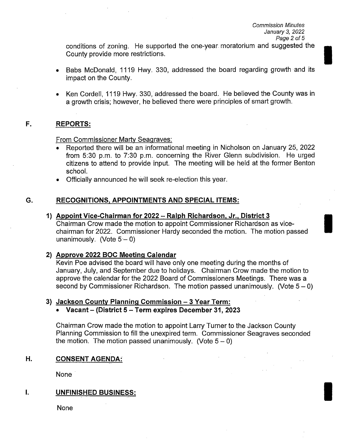conditions of zoning. He supported the one-year moratorium and suggested the County provide more restrictions.

- Babs McDonald, 1119 Hwy. 330, addressed the board regarding growth and its impact on the County.
- Ken Cordell, 1119 Hwy. 330, addressed the board. He believed the County was in a growth crisis; however, he believed there were principles of smart growth.

# F. REPORTS:

From Commissioner Marty Seagraves:

- Reported there will be an informational meeting in Nicholson on January 25, 2022 from 5:30 p.m. to 7:30 p.m. concerning the River Glenn subdivision. He urged citizens to attend to provide input. The meeting will be held at the former Benton school.
- Officially announced he will seek re- election this year.

# G. RECOGNITIONS, APPOINTMENTS AND SPECIAL ITEMS:

1) Appoint Vice-Chairman for 2022 — Ralph Richardson, Jr., District 3

Chairman Crow made the motion to appoint Commissioner Richardson as vicechairman for 2022. Commissioner Hardy seconded the motion. The motion passed unanimously. (Vote  $5 - 0$ )

# 2) Approve 2022 BOC Meeting Calendar

Kevin Poe advised the board will have only one meeting during the months of January, July, and September due to holidays. Chairman Crow made the motion to approve the calendar for the 2022 Board of Commissioners Meetings. There was a second by Commissioner Richardson. The motion passed unanimously. (Vote  $5-0$ )

### 3) Jackson County Planning Commission — 3 Year Term:

### Vacant— (District 5 — Term expires December 31, 2023

Chairman Crow made the motion to appoint Larry Turner to the Jackson County Planning Commission to fill the unexpired term. Commissioner Seagraves seconded the motion. The motion passed unanimously. (Vote  $5-0$ )

# H. CONSENT AGENDA:

None

#### L UNFINISHED BUSINESS:

None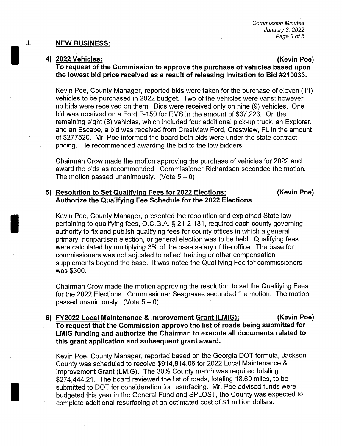### J. NEW BUSINESS:

### 4) 2022 Vehicles: Kevin Poe)

To request of the Commission to approve the purchase of vehicles based upon the lowest bid price received as <sup>a</sup> result of releasing Invitation to Bid #210033.

Kevin Poe, County Manager, reported bids were taken for the purchase of eleven (11) vehicles to be purchased in 2022 budget. Two of the vehicles were vans; however, no bids were received on them. Bids were received only on nine (9) vehicles. One bid was received on a Ford F-150 for EMS in the amount of \$37,223. On the remaining eight (8) vehicles, which included four additional pick-up truck, an Explorer, and an Escape, a bid was received from Crestview Ford, Crestview, FL in the amount of\$ 277520. Mr. Poe informed the board both bids were under the state contract pricing. He recommended awarding the bid to the low bidders.

Chairman Crow made the:motion approving the purchase of vehicles for 2022 and award the bids as recommended. Commissioner Richardson seconded the motion. The motion passed unanimously. (Vote  $5-0$ )

# 5) Resolution to Set Qualifying Fees for 2022 Elections: (Kevin Poe) Authorize the Qualifying Fee Schedule for the 2022 Elections

Kevin Poe, County Manager, presented the resolution and explained State law pertaining to qualifying fees, O.C.G.A. § 21-2-131, required each county governing authority to fix and publish qualifying fees for county offices in which a general primary, nonpartisan election, or general election was to be held. Qualifying fees were calculated by multiplying 3% of the base salary of the office. The base for commissioners was not adjusted to reflect training or other compensation supplements beyond the base. It was noted the Qualifying Fee for commissioners was \$300.

Chairman Crow made the motion approving the resolution to set the Qualifying Fees for the 2022 Elections. Commissioner Seagraves seconded the motion. The motion passed unanimously. (Vote  $5-0$ )

# 6) FY2022 Local Maintenance & Improvement Grant (LMIG): (Kevin Poe) To request that the Commission approve the list of roads being submitted for LMIG funding and authorize the Chairman to execute all documents related to this grant application and subsequent grant award.

Kevin Poe, County Manager, reported based on the Georgia DOT formula, Jackson County was scheduled to receive \$914,814.06 for 2022 Local Maintenance & Improvement Grant (LMIG). The 30% County match was required totaling 274,444.21. The board reviewed the list of roads, totaling 18.69 miles, to be submitted to DOT for consideration for resurfacing. Mr. Poe advised funds were budgeted this year in the General Fund and SPLOST, the County was expected to complete additional resurfacing at an estimated cost of \$1 million dollars.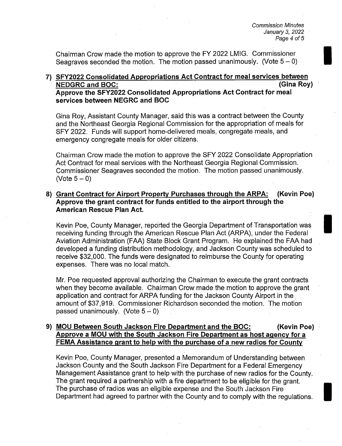Chairman Crow made the motion to approve the FY 2022 LMIG. Commissioner Seagraves seconded the motion. The motion passed unanimously. (Vote  $5-0$ )

# 7) SFY2022 Consolidated Appropriations Act Contract for meal services between NEDGRC and BOC: Gina Roy) Approve the SFY2022 Consolidated Appropriations Act Contract for meal services between NEGRC and BOC

Gina Roy, Assistant County Manager, said this was a contract between the County and the Northeast Georgia Regional Commission for the appropriation of meals for SFY 2022. Funds will support home-delivered meals, congregate meals, and emergency congregate meals for older citizens.

Chairman Crow made the motion to approve the SFY 2022 Consolidate Appropriation Act Contract for meal services with the Northeast Georgia Regional Commission. Commissioner Seagraves seconded the motion. The motion passed unanimously. (Vote  $5-0$ )

# 8) Grant Contract for Airport Property Purchases through the ARPA: (Kevin Poe) Approve the grant contract for funds entitled to the airport through the American Rescue Plan Act.

Kevin Poe, County Manager, reported the Georgia Department of Transportation was receiving funding through the American Rescue Plan Act (ARPA), under the Federal Aviation Administration (FAA) State Block Grant Program. He explained the FAA had developed a funding distribution methodology, and Jackson County was scheduled to receive \$32,000. The funds were designated to reimburse the County for operating expenses. There was no local match.

Mr. Poe requested approval authorizing the Chairman to execute the grant contracts when they become available. Chairman Crow made the motion to approve the grant application and contract for ARPA funding for the Jackson County Airport in the amount of \$37,919. Commissioner Richardson seconded the motion. The motion passed unanimously. (Vote  $5 - 0$ )

# 9) MOU Between South Jackson Fire Department and the BOC: (Kevin Poe) Approve a MOU with the South Jackson Fire Department as host agency for a FEMA Assistance grant to help with the purchase of a new radios for County

Kevin Poe, County Manager, presented a Memorandum of Understanding between Jackson County and the South Jackson Fire Department for a Federal Emergency Management Assistance grant to help with the purchase of new radios for the County. The grant required a partnership with a fire department to be eligible for the grant. The purchase of radios was an eligible expense and the South Jackson Fire Department had agreed to partner with the County and to comply with the regulations.